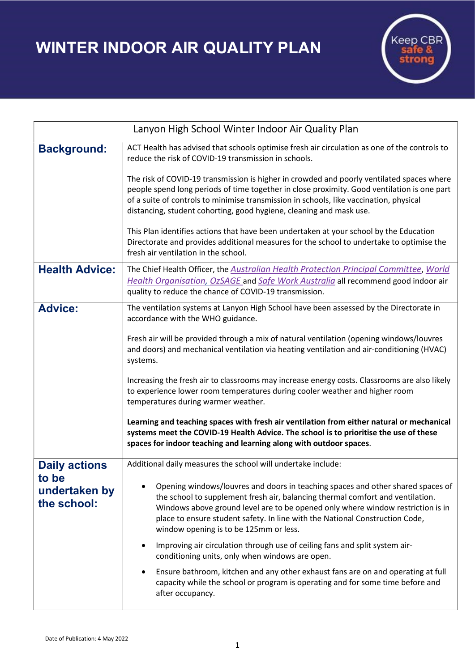WINTER INDOOR AIR QUALITY PLAN



| Lanyon High School Winter Indoor Air Quality Plan |                                                                                                                                                                                                                                                                                                                                                                                                                                  |
|---------------------------------------------------|----------------------------------------------------------------------------------------------------------------------------------------------------------------------------------------------------------------------------------------------------------------------------------------------------------------------------------------------------------------------------------------------------------------------------------|
| <b>Background:</b>                                | ACT Health has advised that schools optimise fresh air circulation as one of the controls to<br>reduce the risk of COVID-19 transmission in schools.                                                                                                                                                                                                                                                                             |
|                                                   | The risk of COVID-19 transmission is higher in crowded and poorly ventilated spaces where<br>people spend long periods of time together in close proximity. Good ventilation is one part<br>of a suite of controls to minimise transmission in schools, like vaccination, physical<br>distancing, student cohorting, good hygiene, cleaning and mask use.                                                                        |
|                                                   | This Plan identifies actions that have been undertaken at your school by the Education<br>Directorate and provides additional measures for the school to undertake to optimise the<br>fresh air ventilation in the school.                                                                                                                                                                                                       |
| <b>Health Advice:</b>                             | The Chief Health Officer, the Australian Health Protection Principal Committee, World<br>Health Organisation, OzSAGE and Safe Work Australia all recommend good indoor air<br>quality to reduce the chance of COVID-19 transmission.                                                                                                                                                                                             |
| <b>Advice:</b>                                    | The ventilation systems at Lanyon High School have been assessed by the Directorate in<br>accordance with the WHO guidance.<br>Fresh air will be provided through a mix of natural ventilation (opening windows/louvres<br>and doors) and mechanical ventilation via heating ventilation and air-conditioning (HVAC)<br>systems.<br>Increasing the fresh air to classrooms may increase energy costs. Classrooms are also likely |
|                                                   | to experience lower room temperatures during cooler weather and higher room<br>temperatures during warmer weather.                                                                                                                                                                                                                                                                                                               |
|                                                   | Learning and teaching spaces with fresh air ventilation from either natural or mechanical<br>systems meet the COVID-19 Health Advice. The school is to prioritise the use of these<br>spaces for indoor teaching and learning along with outdoor spaces.                                                                                                                                                                         |
| <b>Daily actions</b>                              | Additional daily measures the school will undertake include:                                                                                                                                                                                                                                                                                                                                                                     |
| to be<br>undertaken by<br>the school:             | Opening windows/louvres and doors in teaching spaces and other shared spaces of<br>the school to supplement fresh air, balancing thermal comfort and ventilation.<br>Windows above ground level are to be opened only where window restriction is in<br>place to ensure student safety. In line with the National Construction Code,<br>window opening is to be 125mm or less.                                                   |
|                                                   | Improving air circulation through use of ceiling fans and split system air-<br>conditioning units, only when windows are open.                                                                                                                                                                                                                                                                                                   |
|                                                   | Ensure bathroom, kitchen and any other exhaust fans are on and operating at full<br>$\bullet$<br>capacity while the school or program is operating and for some time before and<br>after occupancy.                                                                                                                                                                                                                              |